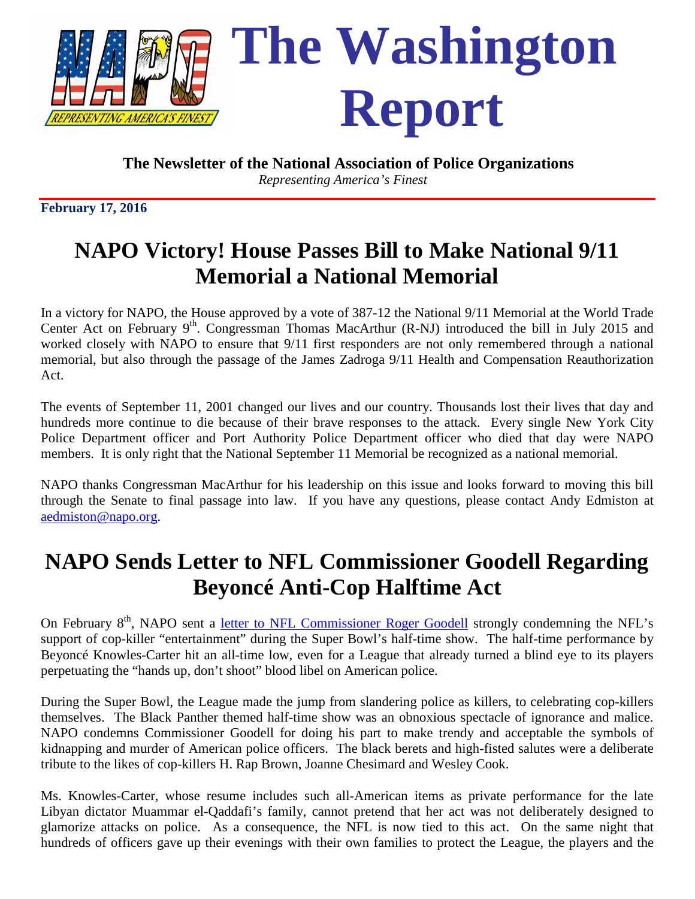

*Representing America's Finest*

**February 17, 2016**

# **NAPO Victory! House Passes Bill to Make National 9/11 Memorial a National Memorial**

In a victory for NAPO, the House approved by a vote of 387-12 the National 9/11 Memorial at the World Trade Center Act on February  $9<sup>th</sup>$ . Congressman Thomas MacArthur (R-NJ) introduced the bill in July 2015 and worked closely with NAPO to ensure that 9/11 first responders are not only remembered through a national memorial, but also through the passage of the James Zadroga 9/11 Health and Compensation Reauthorization Act.

The events of September 11, 2001 changed our lives and our country. Thousands lost their lives that day and hundreds more continue to die because of their brave responses to the attack. Every single New York City Police Department officer and Port Authority Police Department officer who died that day were NAPO members. It is only right that the National September 11 Memorial be recognized as a national memorial.

NAPO thanks Congressman MacArthur for his leadership on this issue and looks forward to moving this bill through the Senate to final passage into law. If you have any questions, please contact Andy Edmiston at [aedmiston@napo.org.](mailto:aedmiston@napo.org)

# **NAPO Sends Letter to NFL Commissioner Goodell Regarding Beyoncé Anti-Cop Halftime Act**

On February 8<sup>th</sup>, NAPO sent a letter to NFL Commissioner Roger Goodell strongly condemning the NFL's support of cop-killer "entertainment" during the Super Bowl's half-time show. The half-time performance by Beyoncé Knowles-Carter hit an all-time low, even for a League that already turned a blind eye to its players perpetuating the "hands up, don't shoot" blood libel on American police.

During the Super Bowl, the League made the jump from slandering police as killers, to celebrating cop-killers themselves. The Black Panther themed half-time show was an obnoxious spectacle of ignorance and malice. NAPO condemns Commissioner Goodell for doing his part to make trendy and acceptable the symbols of kidnapping and murder of American police officers. The black berets and high-fisted salutes were a deliberate tribute to the likes of cop-killers H. Rap Brown, Joanne Chesimard and Wesley Cook.

Ms. Knowles-Carter, whose resume includes such all-American items as private performance for the late Libyan dictator Muammar el-Qaddafi's family, cannot pretend that her act was not deliberately designed to glamorize attacks on police. As a consequence, the NFL is now tied to this act. On the same night that hundreds of officers gave up their evenings with their own families to protect the League, the players and the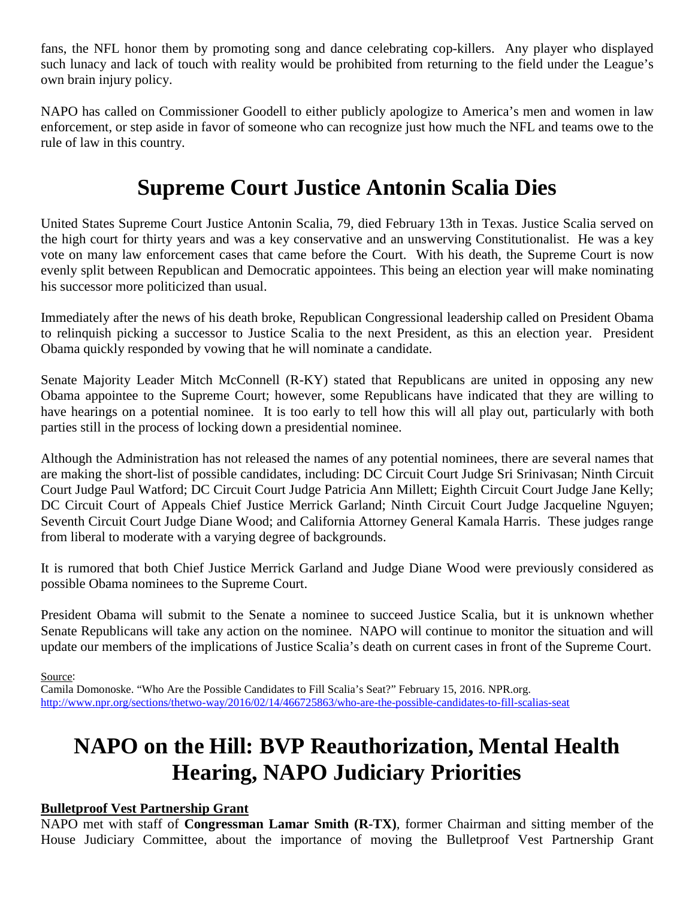fans, the NFL honor them by promoting song and dance celebrating cop-killers. Any player who displayed such lunacy and lack of touch with reality would be prohibited from returning to the field under the League's own brain injury policy.

NAPO has called on Commissioner Goodell to either publicly apologize to America's men and women in law enforcement, or step aside in favor of someone who can recognize just how much the NFL and teams owe to the rule of law in this country.

# **Supreme Court Justice Antonin Scalia Dies**

United States Supreme Court Justice Antonin Scalia, 79, died February 13th in Texas. Justice Scalia served on the high court for thirty years and was a key conservative and an unswerving Constitutionalist. He was a key vote on many law enforcement cases that came before the Court. With his death, the Supreme Court is now evenly split between Republican and Democratic appointees. This being an election year will make nominating his successor more politicized than usual.

Immediately after the news of his death broke, Republican Congressional leadership called on President Obama to relinquish picking a successor to Justice Scalia to the next President, as this an election year. President Obama quickly responded by vowing that he will nominate a candidate.

Senate Majority Leader Mitch McConnell (R-KY) stated that Republicans are united in opposing any new Obama appointee to the Supreme Court; however, some Republicans have indicated that they are willing to have hearings on a potential nominee. It is too early to tell how this will all play out, particularly with both parties still in the process of locking down a presidential nominee.

Although the Administration has not released the names of any potential nominees, there are several names that are making the short-list of possible candidates, including: DC Circuit Court Judge Sri Srinivasan; Ninth Circuit Court Judge Paul Watford; DC Circuit Court Judge Patricia Ann Millett; Eighth Circuit Court Judge Jane Kelly; DC Circuit Court of Appeals Chief Justice Merrick Garland; Ninth Circuit Court Judge Jacqueline Nguyen; Seventh Circuit Court Judge Diane Wood; and California Attorney General Kamala Harris. These judges range from liberal to moderate with a varying degree of backgrounds.

It is rumored that both Chief Justice Merrick Garland and Judge Diane Wood were previously considered as possible Obama nominees to the Supreme Court.

President Obama will submit to the Senate a nominee to succeed Justice Scalia, but it is unknown whether Senate Republicans will take any action on the nominee. NAPO will continue to monitor the situation and will update our members of the implications of Justice Scalia's death on current cases in front of the Supreme Court.

Source:

Camila Domonoske. "Who Are the Possible Candidates to Fill Scalia's Seat?" February 15, 2016. NPR.org. <http://www.npr.org/sections/thetwo-way/2016/02/14/466725863/who-are-the-possible-candidates-to-fill-scalias-seat>

# **NAPO on the Hill: BVP Reauthorization, Mental Health Hearing, NAPO Judiciary Priorities**

### **Bulletproof Vest Partnership Grant**

NAPO met with staff of **Congressman Lamar Smith (R-TX)**, former Chairman and sitting member of the House Judiciary Committee, about the importance of moving the Bulletproof Vest Partnership Grant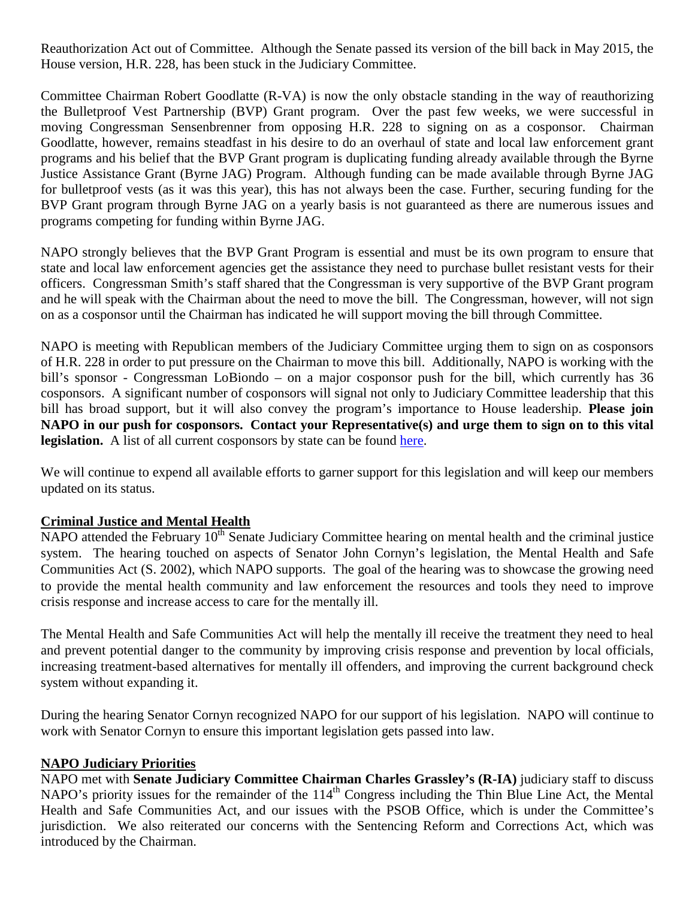Reauthorization Act out of Committee. Although the Senate passed its version of the bill back in May 2015, the House version, H.R. 228, has been stuck in the Judiciary Committee.

Committee Chairman Robert Goodlatte (R-VA) is now the only obstacle standing in the way of reauthorizing the Bulletproof Vest Partnership (BVP) Grant program. Over the past few weeks, we were successful in moving Congressman Sensenbrenner from opposing H.R. 228 to signing on as a cosponsor. Chairman Goodlatte, however, remains steadfast in his desire to do an overhaul of state and local law enforcement grant programs and his belief that the BVP Grant program is duplicating funding already available through the Byrne Justice Assistance Grant (Byrne JAG) Program. Although funding can be made available through Byrne JAG for bulletproof vests (as it was this year), this has not always been the case. Further, securing funding for the BVP Grant program through Byrne JAG on a yearly basis is not guaranteed as there are numerous issues and programs competing for funding within Byrne JAG.

NAPO strongly believes that the BVP Grant Program is essential and must be its own program to ensure that state and local law enforcement agencies get the assistance they need to purchase bullet resistant vests for their officers. Congressman Smith's staff shared that the Congressman is very supportive of the BVP Grant program and he will speak with the Chairman about the need to move the bill. The Congressman, however, will not sign on as a cosponsor until the Chairman has indicated he will support moving the bill through Committee.

NAPO is meeting with Republican members of the Judiciary Committee urging them to sign on as cosponsors of H.R. 228 in order to put pressure on the Chairman to move this bill. Additionally, NAPO is working with the bill's sponsor - Congressman LoBiondo – on a major cosponsor push for the bill, which currently has 36 cosponsors. A significant number of cosponsors will signal not only to Judiciary Committee leadership that this bill has broad support, but it will also convey the program's importance to House leadership. **Please join NAPO in our push for cosponsors. Contact your Representative(s) and urge them to sign on to this vital legislation.** A list of all current cosponsors by state can be found here.

We will continue to expend all available efforts to garner support for this legislation and will keep our members updated on its status.

### **Criminal Justice and Mental Health**

 $\overline{\text{NAPO}}$  attended the February  $10^{\text{th}}$  Senate Judiciary Committee hearing on mental health and the criminal justice system. The hearing touched on aspects of Senator John Cornyn's legislation, the Mental Health and Safe Communities Act (S. 2002), which NAPO supports. The goal of the hearing was to showcase the growing need to provide the mental health community and law enforcement the resources and tools they need to improve crisis response and increase access to care for the mentally ill.

The Mental Health and Safe Communities Act will help the mentally ill receive the treatment they need to heal and prevent potential danger to the community by improving crisis response and prevention by local officials, increasing treatment-based alternatives for mentally ill offenders, and improving the current background check system without expanding it.

During the hearing Senator Cornyn recognized NAPO for our support of his legislation. NAPO will continue to work with Senator Cornyn to ensure this important legislation gets passed into law.

### **NAPO Judiciary Priorities**

NAPO met with **Senate Judiciary Committee Chairman Charles Grassley's (R-IA)** judiciary staff to discuss NAPO's priority issues for the remainder of the 114<sup>th</sup> Congress including the Thin Blue Line Act, the Mental Health and Safe Communities Act, and our issues with the PSOB Office, which is under the Committee's jurisdiction. We also reiterated our concerns with the Sentencing Reform and Corrections Act, which was introduced by the Chairman.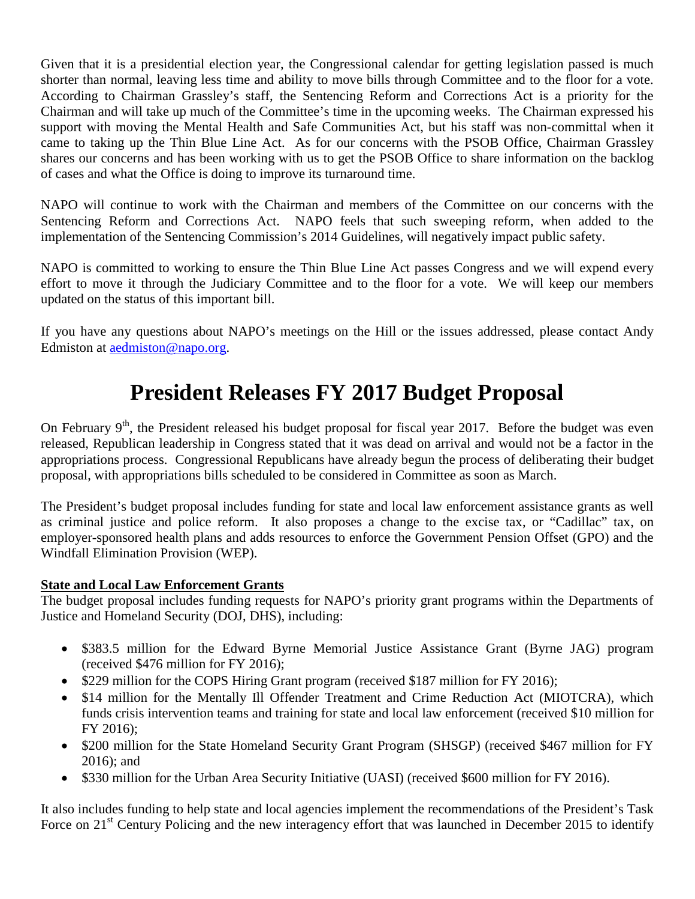Given that it is a presidential election year, the Congressional calendar for getting legislation passed is much shorter than normal, leaving less time and ability to move bills through Committee and to the floor for a vote. According to Chairman Grassley's staff, the Sentencing Reform and Corrections Act is a priority for the Chairman and will take up much of the Committee's time in the upcoming weeks. The Chairman expressed his support with moving the Mental Health and Safe Communities Act, but his staff was non-committal when it came to taking up the Thin Blue Line Act. As for our concerns with the PSOB Office, Chairman Grassley shares our concerns and has been working with us to get the PSOB Office to share information on the backlog of cases and what the Office is doing to improve its turnaround time.

NAPO will continue to work with the Chairman and members of the Committee on our concerns with the Sentencing Reform and Corrections Act. NAPO feels that such sweeping reform, when added to the implementation of the Sentencing Commission's 2014 Guidelines, will negatively impact public safety.

NAPO is committed to working to ensure the Thin Blue Line Act passes Congress and we will expend every effort to move it through the Judiciary Committee and to the floor for a vote. We will keep our members updated on the status of this important bill.

If you have any questions about NAPO's meetings on the Hill or the issues addressed, please contact Andy Edmiston at [aedmiston@napo.org.](mailto:aedmiston@napo.org)

## **President Releases FY 2017 Budget Proposal**

On February  $9<sup>th</sup>$ , the President released his budget proposal for fiscal year 2017. Before the budget was even released, Republican leadership in Congress stated that it was dead on arrival and would not be a factor in the appropriations process. Congressional Republicans have already begun the process of deliberating their budget proposal, with appropriations bills scheduled to be considered in Committee as soon as March.

The President's budget proposal includes funding for state and local law enforcement assistance grants as well as criminal justice and police reform. It also proposes a change to the excise tax, or "Cadillac" tax, on employer-sponsored health plans and adds resources to enforce the Government Pension Offset (GPO) and the Windfall Elimination Provision (WEP).

### **State and Local Law Enforcement Grants**

The budget proposal includes funding requests for NAPO's priority grant programs within the Departments of Justice and Homeland Security (DOJ, DHS), including:

- \$383.5 million for the Edward Byrne Memorial Justice Assistance Grant (Byrne JAG) program (received \$476 million for FY 2016);
- \$229 million for the COPS Hiring Grant program (received \$187 million for FY 2016);
- \$14 million for the Mentally Ill Offender Treatment and Crime Reduction Act (MIOTCRA), which funds crisis intervention teams and training for state and local law enforcement (received \$10 million for FY 2016);
- \$200 million for the State Homeland Security Grant Program (SHSGP) (received \$467 million for FY 2016); and
- \$330 million for the Urban Area Security Initiative (UASI) (received \$600 million for FY 2016).

It also includes funding to help state and local agencies implement the recommendations of the President's Task Force on 21<sup>st</sup> Century Policing and the new interagency effort that was launched in December 2015 to identify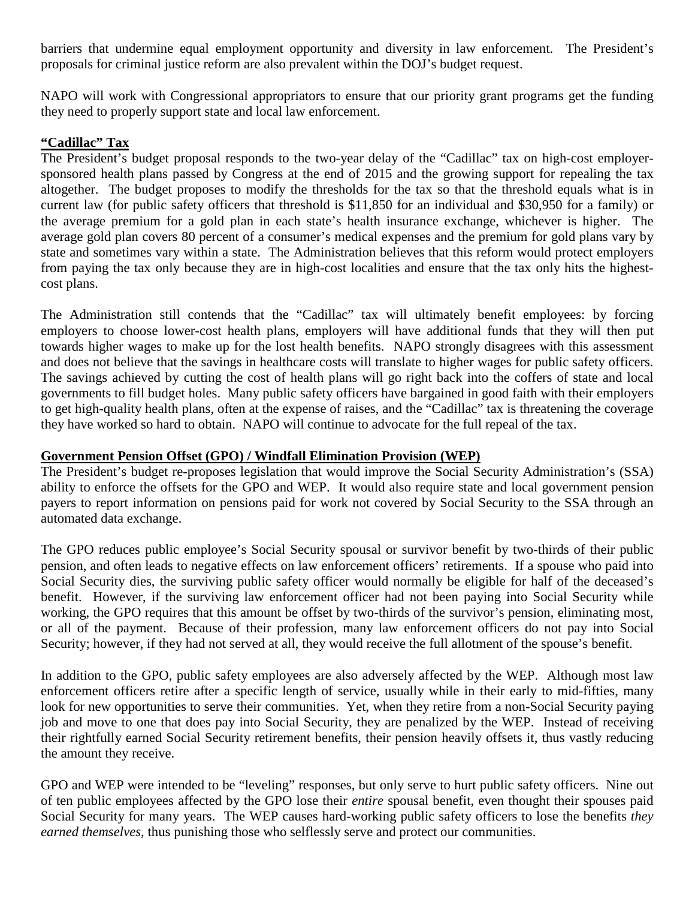barriers that undermine equal employment opportunity and diversity in law enforcement. The President's proposals for criminal justice reform are also prevalent within the DOJ's budget request.

NAPO will work with Congressional appropriators to ensure that our priority grant programs get the funding they need to properly support state and local law enforcement.

### **"Cadillac" Tax**

The President's budget proposal responds to the two-year delay of the "Cadillac" tax on high-cost employersponsored health plans passed by Congress at the end of 2015 and the growing support for repealing the tax altogether. The budget proposes to modify the thresholds for the tax so that the threshold equals what is in current law (for public safety officers that threshold is \$11,850 for an individual and \$30,950 for a family) or the average premium for a gold plan in each state's health insurance exchange, whichever is higher. The average gold plan covers 80 percent of a consumer's medical expenses and the premium for gold plans vary by state and sometimes vary within a state. The Administration believes that this reform would protect employers from paying the tax only because they are in high-cost localities and ensure that the tax only hits the highestcost plans.

The Administration still contends that the "Cadillac" tax will ultimately benefit employees: by forcing employers to choose lower-cost health plans, employers will have additional funds that they will then put towards higher wages to make up for the lost health benefits. NAPO strongly disagrees with this assessment and does not believe that the savings in healthcare costs will translate to higher wages for public safety officers. The savings achieved by cutting the cost of health plans will go right back into the coffers of state and local governments to fill budget holes. Many public safety officers have bargained in good faith with their employers to get high-quality health plans, often at the expense of raises, and the "Cadillac" tax is threatening the coverage they have worked so hard to obtain. NAPO will continue to advocate for the full repeal of the tax.

#### **Government Pension Offset (GPO) / Windfall Elimination Provision (WEP)**

The President's budget re-proposes legislation that would improve the Social Security Administration's (SSA) ability to enforce the offsets for the GPO and WEP. It would also require state and local government pension payers to report information on pensions paid for work not covered by Social Security to the SSA through an automated data exchange.

The GPO reduces public employee's Social Security spousal or survivor benefit by two-thirds of their public pension, and often leads to negative effects on law enforcement officers' retirements. If a spouse who paid into Social Security dies, the surviving public safety officer would normally be eligible for half of the deceased's benefit. However, if the surviving law enforcement officer had not been paying into Social Security while working, the GPO requires that this amount be offset by two-thirds of the survivor's pension, eliminating most, or all of the payment. Because of their profession, many law enforcement officers do not pay into Social Security; however, if they had not served at all, they would receive the full allotment of the spouse's benefit.

In addition to the GPO, public safety employees are also adversely affected by the WEP. Although most law enforcement officers retire after a specific length of service, usually while in their early to mid-fifties, many look for new opportunities to serve their communities. Yet, when they retire from a non-Social Security paying job and move to one that does pay into Social Security, they are penalized by the WEP. Instead of receiving their rightfully earned Social Security retirement benefits, their pension heavily offsets it, thus vastly reducing the amount they receive.

GPO and WEP were intended to be "leveling" responses, but only serve to hurt public safety officers. Nine out of ten public employees affected by the GPO lose their *entire* spousal benefit, even thought their spouses paid Social Security for many years. The WEP causes hard-working public safety officers to lose the benefits *they earned themselves,* thus punishing those who selflessly serve and protect our communities.